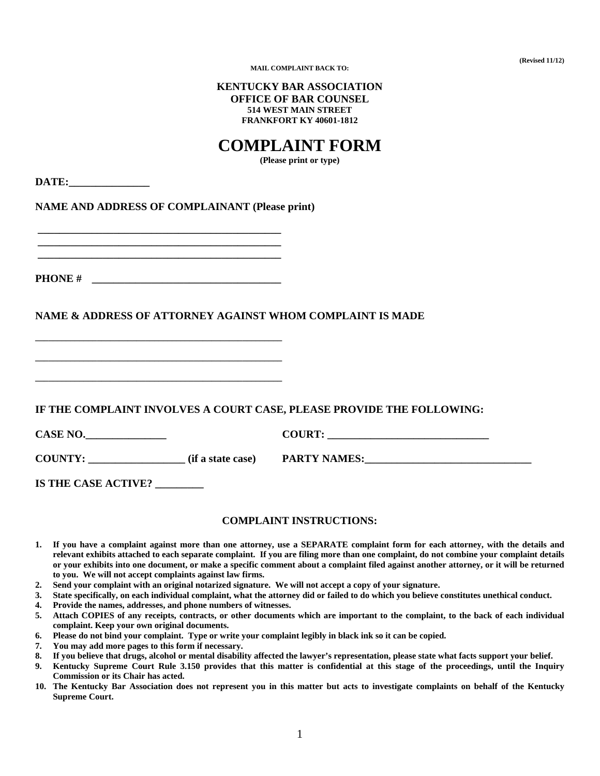**(Revised 11/12)** 

**MAIL COMPLAINT BACK TO:** 

### **KENTUCKY BAR ASSOCIATION OFFICE OF BAR COUNSEL 514 WEST MAIN STREET FRANKFORT KY 40601-1812**

# **COMPLAINT FORM**

**(Please print or type)** 

DATE:

**NAME AND ADDRESS OF COMPLAINANT (Please print)** 

 **\_\_\_\_\_\_\_\_\_\_\_\_\_\_\_\_\_\_\_\_\_\_\_\_\_\_\_\_\_\_\_\_\_\_\_\_\_\_\_\_\_\_\_\_\_ PHONE #** 

**\_\_\_\_\_\_\_\_\_\_\_\_\_\_\_\_\_\_\_\_\_\_\_\_\_\_\_\_\_\_\_\_\_\_\_\_\_\_\_\_\_\_\_\_\_\_\_\_\_\_\_\_\_\_\_\_** 

**\_\_\_\_\_\_\_\_\_\_\_\_\_\_\_\_\_\_\_\_\_\_\_\_\_\_\_\_\_\_\_\_\_\_\_\_\_\_\_\_\_\_\_\_\_\_\_\_\_\_\_\_\_\_\_\_** 

**\_\_\_\_\_\_\_\_\_\_\_\_\_\_\_\_\_\_\_\_\_\_\_\_\_\_\_\_\_\_\_\_\_\_\_\_\_\_\_\_\_\_\_\_\_\_\_\_\_\_\_\_\_\_\_\_** 

 **\_\_\_\_\_\_\_\_\_\_\_\_\_\_\_\_\_\_\_\_\_\_\_\_\_\_\_\_\_\_\_\_\_\_\_\_\_\_\_\_\_\_\_\_\_ \_\_\_\_\_\_\_\_\_\_\_\_\_\_\_\_\_\_\_\_\_\_\_\_\_\_\_\_\_\_\_\_\_\_\_\_\_\_\_\_\_\_\_\_\_** 

# **NAME & ADDRESS OF ATTORNEY AGAINST WHOM COMPLAINT IS MADE**

**IF THE COMPLAINT INVOLVES A COURT CASE, PLEASE PROVIDE THE FOLLOWING:** 

| <b>CASE NO.</b> |                   | <b>COURT:</b>       |
|-----------------|-------------------|---------------------|
| <b>COUNTY:</b>  | (if a state case) | <b>PARTY NAMES:</b> |

**IS THE CASE ACTIVE? \_\_\_\_\_\_\_\_\_** 

#### **COMPLAINT INSTRUCTIONS:**

- **1. If you have a complaint against more than one attorney, use a SEPARATE complaint form for each attorney, with the details and relevant exhibits attached to each separate complaint. If you are filing more than one complaint, do not combine your complaint details or your exhibits into one document, or make a specific comment about a complaint filed against another attorney, or it will be returned to you. We will not accept complaints against law firms.**
- **2. Send your complaint with an original notarized signature. We will not accept a copy of your signature.**
- **3. State specifically, on each individual complaint, what the attorney did or failed to do which you believe constitutes unethical conduct.**
- **4. Provide the names, addresses, and phone numbers of witnesses.**
- **5. Attach COPIES of any receipts, contracts, or other documents which are important to the complaint, to the back of each individual complaint. Keep your own original documents.**
- **6. Please do not bind your complaint. Type or write your complaint legibly in black ink so it can be copied.**
- **7. You may add more pages to this form if necessary.**
- **8. If you believe that drugs, alcohol or mental disability affected the lawyer's representation, please state what facts support your belief.**
- **9. Kentucky Supreme Court Rule 3.150 provides that this matter is confidential at this stage of the proceedings, until the Inquiry Commission or its Chair has acted.**
- **10. The Kentucky Bar Association does not represent you in this matter but acts to investigate complaints on behalf of the Kentucky Supreme Court.**